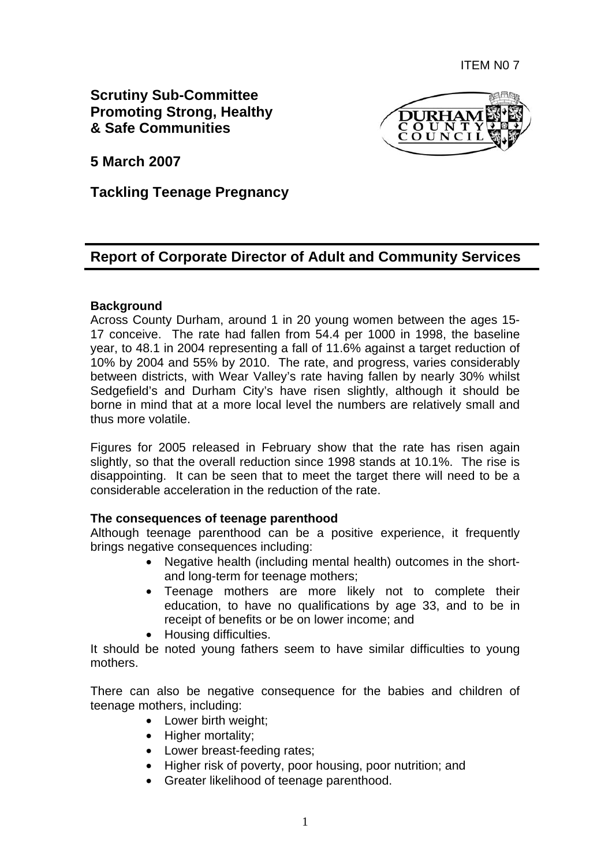**Scrutiny Sub-Committee Promoting Strong, Healthy & Safe Communities** 



**5 March 2007** 

## **Tackling Teenage Pregnancy**

# **Report of Corporate Director of Adult and Community Services**

#### **Background**

Across County Durham, around 1 in 20 young women between the ages 15- 17 conceive. The rate had fallen from 54.4 per 1000 in 1998, the baseline year, to 48.1 in 2004 representing a fall of 11.6% against a target reduction of 10% by 2004 and 55% by 2010. The rate, and progress, varies considerably between districts, with Wear Valley's rate having fallen by nearly 30% whilst Sedgefield's and Durham City's have risen slightly, although it should be borne in mind that at a more local level the numbers are relatively small and thus more volatile.

Figures for 2005 released in February show that the rate has risen again slightly, so that the overall reduction since 1998 stands at 10.1%. The rise is disappointing. It can be seen that to meet the target there will need to be a considerable acceleration in the reduction of the rate.

#### **The consequences of teenage parenthood**

Although teenage parenthood can be a positive experience, it frequently brings negative consequences including:

- Negative health (including mental health) outcomes in the shortand long-term for teenage mothers;
- Teenage mothers are more likely not to complete their education, to have no qualifications by age 33, and to be in receipt of benefits or be on lower income; and
- Housing difficulties.

It should be noted young fathers seem to have similar difficulties to young mothers.

There can also be negative consequence for the babies and children of teenage mothers, including:

- Lower birth weight;
- Higher mortality;
- Lower breast-feeding rates;
- Higher risk of poverty, poor housing, poor nutrition; and
- Greater likelihood of teenage parenthood.